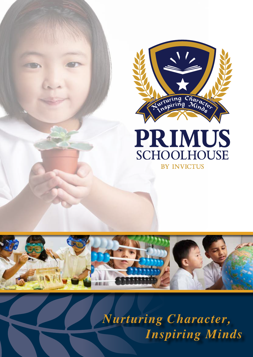





*Nurturing Character, Inspiring Minds*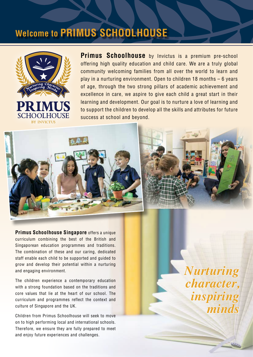## **Welcome to PRIMUS SCHOOLHOUSE**



**Primus Schoolhouse** by Invictus is a premium pre-school offering high quality education and child care. We are a truly global community welcoming families from all over the world to learn and play in a nurturing environment. Open to children 18 months – 6 years of age, through the two strong pillars of academic achievement and excellence in care, we aspire to give each child a great start in their learning and development. Our goal is to nurture a love of learning and to support the children to develop all the skills and attributes for future success at school and beyond.



**Primus Schoolhouse Singapore** offers a unique curriculum combining the best of the British and Singaporean education programmes and traditions. The combination of these and our caring, dedicated staff enable each child to be supported and guided to grow and develop their potential within a nurturing and engaging environment.

The children experience a contemporary education with a strong foundation based on the traditions and core values that lie at the heart of our school. The curriculum and programmes reflect the context and culture of Singapore and the UK.

Children from Primus Schoolhouse will seek to move on to high performing local and international schools. Therefore, we ensure they are fully prepared to meet and enjoy future experiences and challenges.

*Nurturing character, inspiring minds*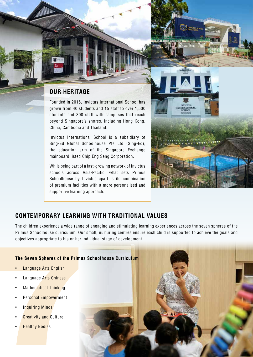### **OUR HERITAGE**

Founded in 2015, Invictus International School has grown from 40 students and 15 staff to over 1,500 students and 300 staff with campuses that reach beyond Singapore's shores, including Hong Kong, China, Cambodia and Thailand.

Invictus International School is a subsidiary of Sing-Ed Global Schoolhouse Pte Ltd (Sing-Ed), the education arm of the Singapore Exchange mainboard listed Chip Eng Seng Corporation.

While being part of a fast-growing network of Invictus schools across Asia-Pacific, what sets Primus Schoolhouse by Invictus apart is its combination of premium facilities with a more personalised and supportive learning approach.



#### **CONTEMPORARY LEARNING WITH TRADITIONAL VALUES**

The children experience a wide range of engaging and stimulating learning experiences across the seven spheres of the Primus Schoolhouse curriculum. Our small, nurturing centres ensure each child is supported to achieve the goals and objectives appropriate to his or her individual stage of development.

#### **The Seven Spheres of the Primus Schoolhouse Curriculum**

- Language Arts English
- Language Arts Chinese
- Mathematical Thinking
- Personal Empowerment
- Inquiring Minds
- **Creativity and Culture**
- **Healthy Bodies**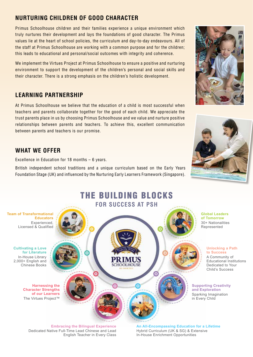## **NURTURING CHILDREN OF GOOD CHARACTER**

Primus Schoolhouse children and their families experience a unique environment which truly nurtures their development and lays the foundations of good character. The Primus values lie at the heart of school policies, the curriculum and day-to-day endeavours. All of the staff at Primus Schoolhouse are working with a common purpose and for the children; this leads to educational and personal/social outcomes with integrity and coherence.

We implement the Virtues Project at Primus Schoolhouse to ensure a positive and nurturing environment to support the development of the children's personal and social skills and their character. There is a strong emphasis on the children's holistic development.

#### **LEARNING PARTNERSHIP**

At Primus Schoolhouse we believe that the education of a child is most successful when teachers and parents collaborate together for the good of each child. We appreciate the trust parents place in us by choosing Primus Schoolhouse and we value and nurture positive relationships between parents and teachers. To achieve this, excellent communication between parents and teachers is our promise.

#### **WHAT WE OFFER**

Excellence in Education for 18 months – 6 years.

British independent school traditions and a unique curriculum based on the Early Years Foundation Stage (UK) and influenced by the Nurturing Early Learners Framework (Singapore).





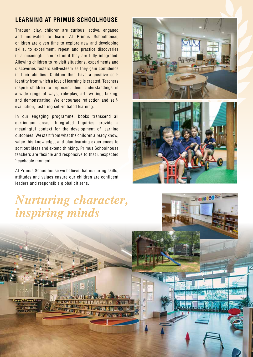### **LEARNING AT PRIMUS SCHOOLHOUSE**

Through play, children are curious, active, engaged and motivated to learn. At Primus Schoolhouse, children are given time to explore new and developing skills, to experiment, repeat and practice discoveries in a meaningful context until they are fully integrated. Allowing children to re-visit situations, experiments and discoveries fosters self-esteem as they gain confidence in their abilities. Children then have a positive selfidentity from which a love of learning is created. Teachers inspire children to represent their understandings in a wide range of ways, role-play, art, writing, talking, and demonstrating. We encourage reflection and selfevaluation, fostering self-initiated learning.

In our engaging programme, books transcend all curriculum areas. Integrated Inquiries provide a meaningful context for the development of learning outcomes. We start from what the children already know, value this knowledge, and plan learning experiences to sort out ideas and extend thinking. Primus Schoolhouse teachers are flexible and responsive to that unexpected 'teachable moment'.

At Primus Schoolhouse we believe that nurturing skills, attitudes and values ensure our children are confident leaders and responsible global citizens.





10000000

# *Nurturing character, inspiring minds*

**MARITAGE AND THE LINES** 

*<u>DESIGNER SIGNALISMENT CONTINUES.</u>*